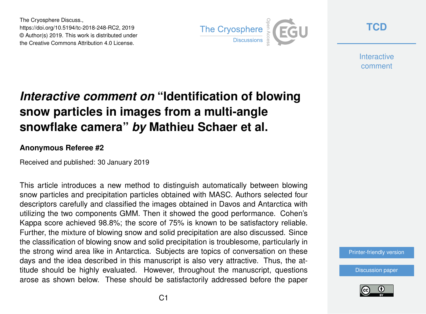The Cryosphere Discuss., https://doi.org/10.5194/tc-2018-248-RC2, 2019 © Author(s) 2019. This work is distributed under the Creative Commons Attribution 4.0 License.



**[TCD](https://www.the-cryosphere-discuss.net/)**

**Interactive** comment

## *Interactive comment on* **"Identification of blowing snow particles in images from a multi-angle snowflake camera"** *by* **Mathieu Schaer et al.**

## **Anonymous Referee #2**

Received and published: 30 January 2019

This article introduces a new method to distinguish automatically between blowing snow particles and precipitation particles obtained with MASC. Authors selected four descriptors carefully and classified the images obtained in Davos and Antarctica with utilizing the two components GMM. Then it showed the good performance. Cohen's Kappa score achieved 98.8%; the score of 75% is known to be satisfactory reliable. Further, the mixture of blowing snow and solid precipitation are also discussed. Since the classification of blowing snow and solid precipitation is troublesome, particularly in the strong wind area like in Antarctica. Subjects are topics of conversation on these days and the idea described in this manuscript is also very attractive. Thus, the attitude should be highly evaluated. However, throughout the manuscript, questions arose as shown below. These should be satisfactorily addressed before the paper

[Printer-friendly version](https://www.the-cryosphere-discuss.net/tc-2018-248/tc-2018-248-RC2-print.pdf)

[Discussion paper](https://www.the-cryosphere-discuss.net/tc-2018-248)

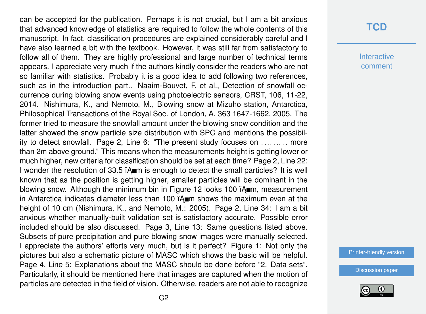can be accepted for the publication. Perhaps it is not crucial, but I am a bit anxious that advanced knowledge of statistics are required to follow the whole contents of this manuscript. In fact, classification procedures are explained considerably careful and I have also learned a bit with the textbook. However, it was still far from satisfactory to follow all of them. They are highly professional and large number of technical terms appears. I appreciate very much if the authors kindly consider the readers who are not so familiar with statistics. Probably it is a good idea to add following two references, such as in the introduction part.. Naaim-Bouvet, F. et al., Detection of snowfall occurrence during blowing snow events using photoelectric sensors, CRST, 106, 11-22, 2014. Nishimura, K., and Nemoto, M., Blowing snow at Mizuho station, Antarctica, Philosophical Transactions of the Royal Soc. of London, A, 363 1647-1662, 2005. The former tried to measure the snowfall amount under the blowing snow condition and the latter showed the snow particle size distribution with SPC and mentions the possibility to detect snowfall. Page 2, Line 6: "The present study focuses on . . .. . .. . . more than 2m above ground." This means when the measurements height is getting lower or much higher, new criteria for classification should be set at each time? Page 2, Line 22: I wonder the resolution of 33.5  $\lambda$  m is enough to detect the small particles? It is well known that as the position is getting higher, smaller particles will be dominant in the blowing snow. Although the minimum bin in Figure 12 looks 100  $\lambda$  m, measurement in Antarctica indicates diameter less than 100  $\mathsf{TA}_{\blacksquare}$  shows the maximum even at the height of 10 cm (Nishimura, K., and Nemoto, M.: 2005). Page 2, Line 34: I am a bit anxious whether manually-built validation set is satisfactory accurate. Possible error included should be also discussed. Page 3, Line 13: Same questions listed above. Subsets of pure precipitation and pure blowing snow images were manually selected. I appreciate the authors' efforts very much, but is it perfect? Figure 1: Not only the pictures but also a schematic picture of MASC which shows the basic will be helpful. Page 4, Line 5: Explanations about the MASC should be done before "2. Data sets". Particularly, it should be mentioned here that images are captured when the motion of particles are detected in the field of vision. Otherwise, readers are not able to recognize

## **[TCD](https://www.the-cryosphere-discuss.net/)**

**Interactive** comment

[Printer-friendly version](https://www.the-cryosphere-discuss.net/tc-2018-248/tc-2018-248-RC2-print.pdf)

[Discussion paper](https://www.the-cryosphere-discuss.net/tc-2018-248)